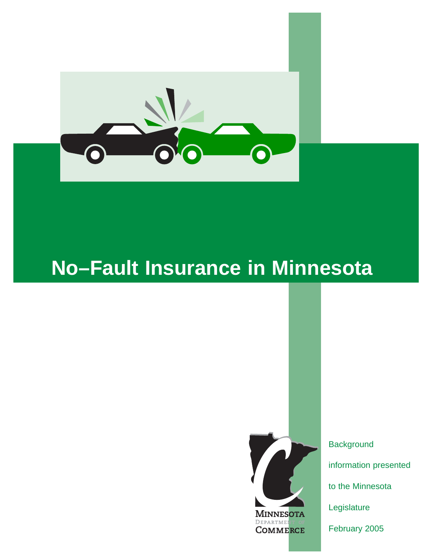

# **No–Fault Insurance in Minnesota**



**Background** information presented to the Minnesota Legislature February 2005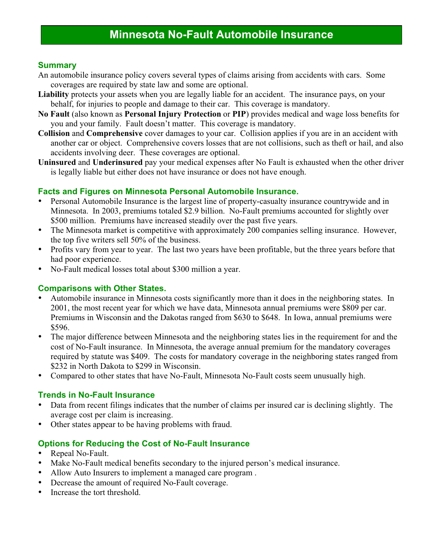# **Minnesota No-Fault Automobile Insurance**

#### **Summary**

- An automobile insurance policy covers several types of claims arising from accidents with cars. Some coverages are required by state law and some are optional.
- Liability protects your assets when you are legally liable for an accident. The insurance pays, on your behalf, for injuries to people and damage to their car. This coverage is mandatory.
- **No Fault** (also known as **Personal Injury Protection** or **PIP**) provides medical and wage loss benefits for you and your family. Fault doesn't matter. This coverage is mandatory.
- **Collision** and **Comprehensive** cover damages to your car. Collision applies if you are in an accident with another car or object. Comprehensive covers losses that are not collisions, such as theft or hail, and also accidents involving deer. These coverages are optional.
- **Uninsured** and **Underinsured** pay your medical expenses after No Fault is exhausted when the other driver is legally liable but either does not have insurance or does not have enough.

#### **Facts and Figures on Minnesota Personal Automobile Insurance.**

- Personal Automobile Insurance is the largest line of property-casualty insurance countrywide and in Minnesota. In 2003, premiums totaled \$2.9 billion. No-Fault premiums accounted for slightly over \$500 million. Premiums have increased steadily over the past five years.
- The Minnesota market is competitive with approximately 200 companies selling insurance. However, the top five writers sell 50% of the business.
- Profits vary from year to year. The last two years have been profitable, but the three years before that had poor experience.
- No-Fault medical losses total about \$300 million a year.

#### **Comparisons with Other States.**

- Automobile insurance in Minnesota costs significantly more than it does in the neighboring states. In 2001, the most recent year for which we have data, Minnesota annual premiums were \$809 per car. Premiums in Wisconsin and the Dakotas ranged from \$630 to \$648. In Iowa, annual premiums were \$596.
- The major difference between Minnesota and the neighboring states lies in the requirement for and the cost of No-Fault insurance. In Minnesota, the average annual premium for the mandatory coverages required by statute was \$409. The costs for mandatory coverage in the neighboring states ranged from \$232 in North Dakota to \$299 in Wisconsin.
- Compared to other states that have No-Fault, Minnesota No-Fault costs seem unusually high.

#### **Trends in No-Fault Insurance**

- Data from recent filings indicates that the number of claims per insured car is declining slightly. The average cost per claim is increasing.
- Other states appear to be having problems with fraud.

### **Options for Reducing the Cost of No-Fault Insurance**

- Repeal No-Fault.
- Make No-Fault medical benefits secondary to the injured person's medical insurance.
- Allow Auto Insurers to implement a managed care program .
- Decrease the amount of required No-Fault coverage.
- Increase the tort threshold.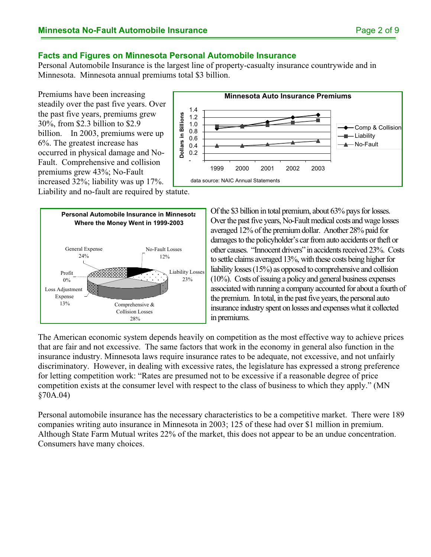#### **Facts and Figures on Minnesota Personal Automobile Insurance**

Personal Automobile Insurance is the largest line of property-casualty insurance countrywide and in Minnesota. Minnesota annual premiums total \$3 billion.

Premiums have been increasing steadily over the past five years. Over the past five years, premiums grew 30%, from \$2.3 billion to \$2.9 billion. In 2003, premiums were up 6%. The greatest increase has occurred in physical damage and No-Fault. Comprehensive and collision premiums grew 43%; No-Fault increased 32%; liability was up 17%.



Liability and no-fault are required by statute.



Of the \$3 billion in total premium, about 63% pays for losses. Over the past five years, No-Fault medical costs and wage losses averaged 12% of the premium dollar. Another 28% paid for damages to the policyholder's car from auto accidents or theft or other causes. "Innocent drivers" in accidents received 23%. Costs to settle claims averaged 13%, with these costs being higher for liability losses (15%) as opposed to comprehensive and collision (10%). Costs of issuing a policy and general business expenses associated with running a company accounted for about a fourth of the premium. In total, in the past five years, the personal auto insurance industry spent on losses and expenses what it collected in premiums.

The American economic system depends heavily on competition as the most effective way to achieve prices that are fair and not excessive. The same factors that work in the economy in general also function in the insurance industry. Minnesota laws require insurance rates to be adequate, not excessive, and not unfairly discriminatory. However, in dealing with excessive rates, the legislature has expressed a strong preference for letting competition work: "Rates are presumed not to be excessive if a reasonable degree of price competition exists at the consumer level with respect to the class of business to which they apply." (MN §70A.04)

Personal automobile insurance has the necessary characteristics to be a competitive market. There were 189 companies writing auto insurance in Minnesota in 2003; 125 of these had over \$1 million in premium. Although State Farm Mutual writes 22% of the market, this does not appear to be an undue concentration. Consumers have many choices.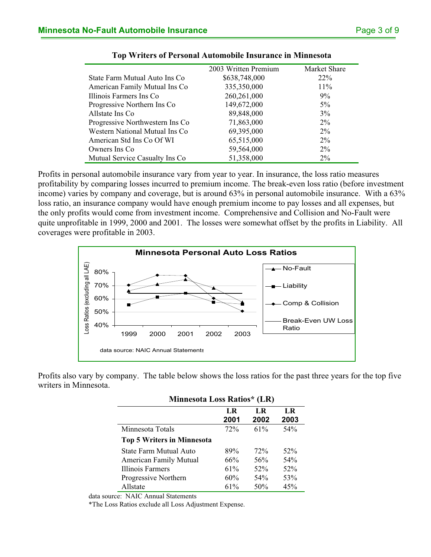| 2003 Written Premium | Market Share |
|----------------------|--------------|
| \$638,748,000        | $22\%$       |
| 335,350,000          | $11\%$       |
| 260, 261, 000        | $9\%$        |
| 149,672,000          | $5\%$        |
| 89,848,000           | 3%           |
| 71,863,000           | $2\%$        |
| 69,395,000           | $2\%$        |
| 65,515,000           | $2\%$        |
| 59,564,000           | $2\%$        |
| 51,358,000           | $2\%$        |
|                      |              |

| Top Writers of Personal Automobile Insurance in Minnesota |
|-----------------------------------------------------------|
|-----------------------------------------------------------|

Profits in personal automobile insurance vary from year to year. In insurance, the loss ratio measures profitability by comparing losses incurred to premium income. The break-even loss ratio (before investment income) varies by company and coverage, but is around 63% in personal automobile insurance. With a 63% loss ratio, an insurance company would have enough premium income to pay losses and all expenses, but the only profits would come from investment income. Comprehensive and Collision and No-Fault were quite unprofitable in 1999, 2000 and 2001. The losses were somewhat offset by the profits in Liability. All coverages were profitable in 2003.



Profits also vary by company. The table below shows the loss ratios for the past three years for the top five writers in Minnesota.

| LR<br>2001 | LR<br>2002 | LR<br>2003 |
|------------|------------|------------|
| 72%        | $61\%$     | 54%        |
|            |            |            |
| 89%        | 72%        | $52\%$     |
| 66%        | 56%        | 54%        |
| 61%        | 52%        | 52%        |
| 60%        | 54%        | 53%        |
| 61%        | 50%        | 45%        |
|            |            |            |

#### **Minnesota Loss Ratios\* (LR)**

data source: NAIC Annual Statements

\*The Loss Ratios exclude all Loss Adjustment Expense.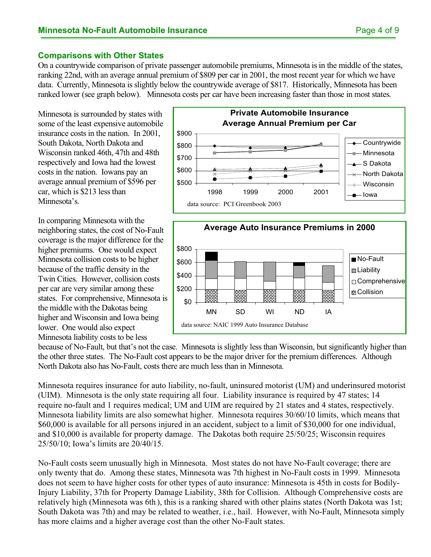#### **Comparisons with Other States**

On a countrywide comparison of private passenger automobile premiums, Minnesota is in the middle of the states, ranking 22nd, with an average annual premium of \$809 per car in 2001, the most recent year for which we have data. Currently, Minnesota is slightly below the countrywide average of \$817. Historically, Minnesota has been ranked lower (see graph below). Minnesota costs per car have been increasing faster than those in most states.

Minnesota is surrounded by states with some of the least expensive automobile insurance costs in the nation. In 2001, South Dakota, North Dakota and Wisconsin ranked 46th, 47th and 48th respectively and Iowa had the lowest costs in the nation. Iowans pay an average annual premium of \$596 per car, which is \$213 less than Minnesota's.

In comparing Minnesota with the neighboring states, the cost of No-Fault coverage is the major difference for the higher premiums. One would expect Minnesota collision costs to be higher because of the traffic density in the Twin Cities. However, collision costs per car are very similar among these states. For comprehensive, Minnesota is the middle with the Dakotas being higher and Wisconsin and Iowa being lower. One would also expect Minnesota liability costs to be less





because of No-Fault, but that's not the case. Minnesota is slightly less than Wisconsin, but significantly higher than the other three states. The No-Fault cost appears to be the major driver for the premium differences. Although North Dakota also has No-Fault, costs there are much less than in Minnesota.

Minnesota requires insurance for auto liability, no-fault, uninsured motorist (UM) and underinsured motorist (UIM). Minnesota is the only state requiring all four. Liability insurance is required by 47 states; 14 require no-fault and 1 requires medical; UM and UIM are required by 21 states and 4 states, respectively. Minnesota liability limits are also somewhat higher. Minnesota requires 30/60/10 limits, which means that \$60,000 is available for all persons injured in an accident, subject to a limit of \$30,000 for one individual, and \$10,000 is available for property damage. The Dakotas both require 25/50/25; Wisconsin requires 25/50/10; Iowa's limits are 20/40/15.

No-Fault costs seem unusually high in Minnesota. Most states do not have No-Fault coverage; there are only twenty that do. Among these states, Minnesota was 7th highest in No-Fault costs in 1999. Minnesota does not seem to have higher costs for other types of auto insurance: Minnesota is 45th in costs for Bodily-Injury Liability, 37th for Property Damage Liability, 38th for Collision. Although Comprehensive costs are relatively high (Minnesota was 6th ), this is a ranking shared with other plains states (North Dakota was 1st; South Dakota was 7th) and may be related to weather, i.e., hail. However, with No-Fault, Minnesota simply has more claims and a higher average cost than the other No-Fault states.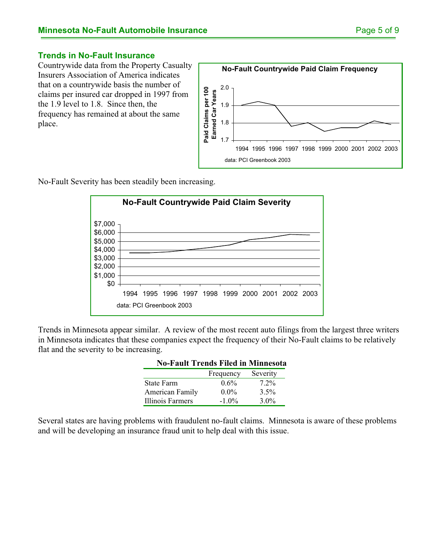#### **Trends in No-Fault Insurance**

Countrywide data from the Property Casualty Insurers Association of America indicates that on a countrywide basis the number of claims per insured car dropped in 1997 from the 1.9 level to 1.8. Since then, the frequency has remained at about the same place.



No-Fault Severity has been steadily been increasing.



Trends in Minnesota appear similar. A review of the most recent auto filings from the largest three writers in Minnesota indicates that these companies expect the frequency of their No-Fault claims to be relatively flat and the severity to be increasing.

| NO-FAUIT Frends Filed in Minnesota |           |          |
|------------------------------------|-----------|----------|
|                                    | Frequency | Severity |
| <b>State Farm</b>                  | $0.6\%$   | $7.2\%$  |
| American Family                    | $0.0\%$   | $3.5\%$  |
| Illinois Farmers                   | $-1.0\%$  | $3.0\%$  |

#### **No-Fault Trends Filed in Minnesota**

Several states are having problems with fraudulent no-fault claims. Minnesota is aware of these problems and will be developing an insurance fraud unit to help deal with this issue.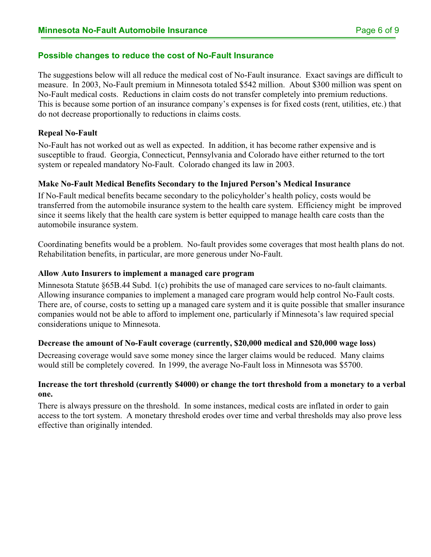#### **Possible changes to reduce the cost of No-Fault Insurance**

The suggestions below will all reduce the medical cost of No-Fault insurance. Exact savings are difficult to measure. In 2003, No-Fault premium in Minnesota totaled \$542 million. About \$300 million was spent on No-Fault medical costs. Reductions in claim costs do not transfer completely into premium reductions. This is because some portion of an insurance company's expenses is for fixed costs (rent, utilities, etc.) that do not decrease proportionally to reductions in claims costs.

#### **Repeal No-Fault**

No-Fault has not worked out as well as expected. In addition, it has become rather expensive and is susceptible to fraud. Georgia, Connecticut, Pennsylvania and Colorado have either returned to the tort system or repealed mandatory No-Fault. Colorado changed its law in 2003.

#### **Make No-Fault Medical Benefits Secondary to the Injured Person's Medical Insurance**

If No-Fault medical benefits became secondary to the policyholder's health policy, costs would be transferred from the automobile insurance system to the health care system. Efficiency might be improved since it seems likely that the health care system is better equipped to manage health care costs than the automobile insurance system.

Coordinating benefits would be a problem. No-fault provides some coverages that most health plans do not. Rehabilitation benefits, in particular, are more generous under No-Fault.

#### **Allow Auto Insurers to implement a managed care program**

Minnesota Statute §65B.44 Subd. 1(c) prohibits the use of managed care services to no-fault claimants. Allowing insurance companies to implement a managed care program would help control No-Fault costs. There are, of course, costs to setting up a managed care system and it is quite possible that smaller insurance companies would not be able to afford to implement one, particularly if Minnesota's law required special considerations unique to Minnesota.

#### **Decrease the amount of No-Fault coverage (currently, \$20,000 medical and \$20,000 wage loss)**

Decreasing coverage would save some money since the larger claims would be reduced. Many claims would still be completely covered. In 1999, the average No-Fault loss in Minnesota was \$5700.

#### **Increase the tort threshold (currently \$4000) or change the tort threshold from a monetary to a verbal one.**

There is always pressure on the threshold. In some instances, medical costs are inflated in order to gain access to the tort system. A monetary threshold erodes over time and verbal thresholds may also prove less effective than originally intended.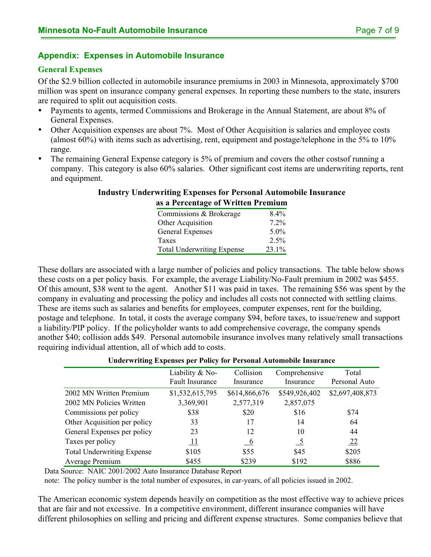### **Appendix: Expenses in Automobile Insurance**

#### **General Expenses**

Of the \$2.9 billion collected in automobile insurance premiums in 2003 in Minnesota, approximately \$700 million was spent on insurance company general expenses. In reporting these numbers to the state, insurers are required to split out acquisition costs.

- Payments to agents, termed Commissions and Brokerage in the Annual Statement, are about 8% of General Expenses.
- Other Acquisition expenses are about 7%. Most of Other Acquisition is salaries and employee costs (almost 60%) with items such as advertising, rent, equipment and postage/telephone in the 5% to 10% range.
- The remaining General Expense category is 5% of premium and covers the other costs of running a company. This category is also 60% salaries. Other significant cost items are underwriting reports, rent and equipment.

#### **Industry Underwriting Expenses for Personal Automobile Insurance as a Percentage of Written Premium**

| Commissions & Brokerage           | 8.4%    |
|-----------------------------------|---------|
| Other Acquisition                 | $7.2\%$ |
| General Expenses                  | $5.0\%$ |
| Taxes                             | 2.5%    |
| <b>Total Underwriting Expense</b> | 23.1%   |

These dollars are associated with a large number of policies and policy transactions. The table below shows these costs on a per policy basis. For example, the average Liability/No-Fault premium in 2002 was \$455. Of this amount, \$38 went to the agent. Another \$11 was paid in taxes. The remaining \$56 was spent by the company in evaluating and processing the policy and includes all costs not connected with settling claims. These are items such as salaries and benefits for employees, computer expenses, rent for the building, postage and telephone. In total, it costs the average company \$94, before taxes, to issue/renew and support a liability/PIP policy. If the policyholder wants to add comprehensive coverage, the company spends another \$40; collision adds \$49. Personal automobile insurance involves many relatively small transactions requiring individual attention, all of which add to costs.

#### **Underwriting Expenses per Policy for Personal Automobile Insurance**

|                                   | Liability & No-        | Collision     | Comprehensive | Total           |
|-----------------------------------|------------------------|---------------|---------------|-----------------|
|                                   | <b>Fault Insurance</b> | Insurance     | Insurance     | Personal Auto   |
| 2002 MN Written Premium           | \$1,532,615,795        | \$614,866,676 | \$549,926,402 | \$2,697,408,873 |
| 2002 MN Policies Written          | 3,369,901              | 2,577,319     | 2,857,075     |                 |
| Commissions per policy            | \$38                   | \$20          | \$16          | \$74            |
| Other Acquisition per policy      | 33                     | 17            | 14            | 64              |
| General Expenses per policy       | 23                     | 12            | 10            | 44              |
| Taxes per policy                  | <u> 11</u>             | $-6$          | $\frac{5}{2}$ | 22              |
| <b>Total Underwriting Expense</b> | \$105                  | \$55          | \$45          | \$205           |
| Average Premium                   | \$455                  | \$239         | \$192         | \$886           |

Data Source: NAIC 2001/2002 Auto Insurance Database Report

note: The policy number is the total number of exposures, in car-years, of all policies issued in 2002.

The American economic system depends heavily on competition as the most effective way to achieve prices that are fair and not excessive. In a competitive environment, different insurance companies will have different philosophies on selling and pricing and different expense structures. Some companies believe that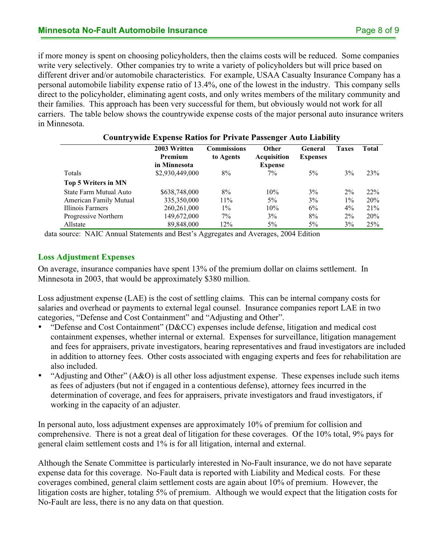if more money is spent on choosing policyholders, then the claims costs will be reduced. Some companies write very selectively. Other companies try to write a variety of policyholders but will price based on different driver and/or automobile characteristics. For example, USAA Casualty Insurance Company has a personal automobile liability expense ratio of 13.4%, one of the lowest in the industry. This company sells direct to the policyholder, eliminating agent costs, and only writes members of the military community and their families. This approach has been very successful for them, but obviously would not work for all carriers. The table below shows the countrywide expense costs of the major personal auto insurance writers in Minnesota.

| <b>Countrywide Expense Ratios for Private Passenger Auto Liability</b> |                                         |                                 |                                               |                            |              |       |
|------------------------------------------------------------------------|-----------------------------------------|---------------------------------|-----------------------------------------------|----------------------------|--------------|-------|
|                                                                        | 2003 Written<br>Premium<br>in Minnesota | <b>Commissions</b><br>to Agents | Other<br><b>Acquisition</b><br><b>Expense</b> | General<br><b>Expenses</b> | <b>Taxes</b> | Total |
| Totals                                                                 | \$2,930,449,000                         | 8%                              | $7\%$                                         | $5\%$                      | $3\%$        | 23%   |
| Top 5 Writers in MN                                                    |                                         |                                 |                                               |                            |              |       |
| State Farm Mutual Auto                                                 | \$638,748,000                           | 8%                              | 10%                                           | 3%                         | $2\%$        | 22%   |
| American Family Mutual                                                 | 335,350,000                             | $11\%$                          | $5\%$                                         | 3%                         | $1\%$        | 20%   |
| Illinois Farmers                                                       | 260, 261, 000                           | $1\%$                           | 10%                                           | 6%                         | $4\%$        | 21%   |
| Progressive Northern                                                   | 149,672,000                             | $7\%$                           | $3\%$                                         | 8%                         | $2\%$        | 20%   |
| Allstate                                                               | 89,848,000                              | 12%                             | $5\%$                                         | $5\%$                      | $3\%$        | 25%   |

data source: NAIC Annual Statements and Best's Aggregates and Averages, 2004 Edition

#### **Loss Adjustment Expenses**

On average, insurance companies have spent 13% of the premium dollar on claims settlement. In Minnesota in 2003, that would be approximately \$380 million.

Loss adjustment expense (LAE) is the cost of settling claims. This can be internal company costs for salaries and overhead or payments to external legal counsel. Insurance companies report LAE in two categories, "Defense and Cost Containment" and "Adjusting and Other".

- "Defense and Cost Containment" (D&CC) expenses include defense, litigation and medical cost containment expenses, whether internal or external. Expenses for surveillance, litigation management and fees for appraisers, private investigators, hearing representatives and fraud investigators are included in addition to attorney fees. Other costs associated with engaging experts and fees for rehabilitation are also included.
- "Adjusting and Other" (A&O) is all other loss adjustment expense. These expenses include such items as fees of adjusters (but not if engaged in a contentious defense), attorney fees incurred in the determination of coverage, and fees for appraisers, private investigators and fraud investigators, if working in the capacity of an adjuster.

In personal auto, loss adjustment expenses are approximately 10% of premium for collision and comprehensive. There is not a great deal of litigation for these coverages. Of the 10% total, 9% pays for general claim settlement costs and 1% is for all litigation, internal and external.

Although the Senate Committee is particularly interested in No-Fault insurance, we do not have separate expense data for this coverage. No-Fault data is reported with Liability and Medical costs. For these coverages combined, general claim settlement costs are again about 10% of premium. However, the litigation costs are higher, totaling 5% of premium. Although we would expect that the litigation costs for No-Fault are less, there is no any data on that question.